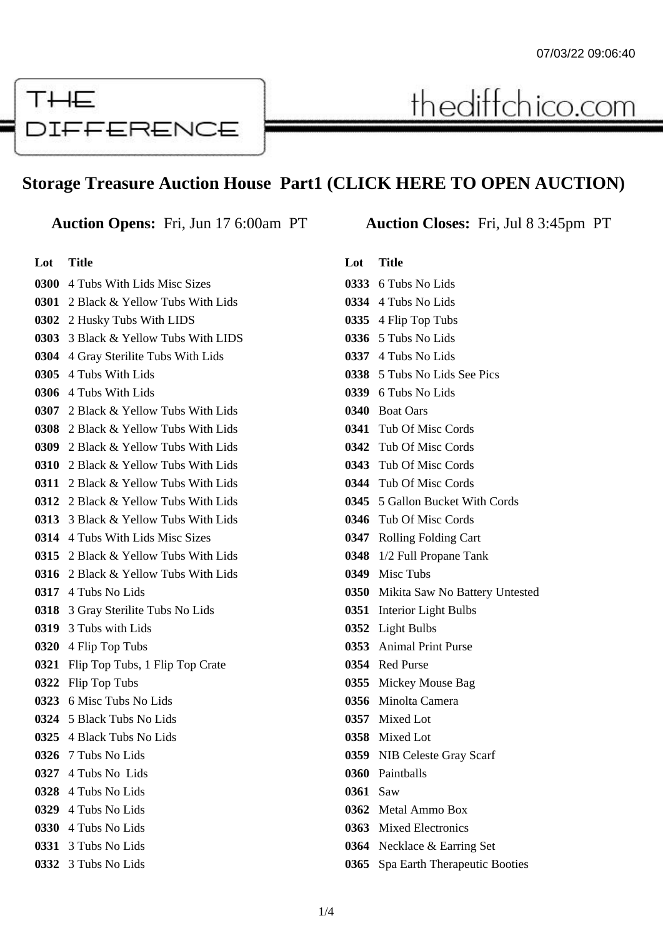

# **Storage Treasure Auction House Part1 (CLICK HERE TO OPEN AUCTION)**

### **Lot Title**

 4 Tubs With Lids Misc Sizes 2 Black & Yellow Tubs With Lids 2 Husky Tubs With LIDS 3 Black & Yellow Tubs With LIDS 4 Gray Sterilite Tubs With Lids 4 Tubs With Lids 4 Tubs With Lids 2 Black & Yellow Tubs With Lids 2 Black & Yellow Tubs With Lids 2 Black & Yellow Tubs With Lids 2 Black & Yellow Tubs With Lids 2 Black & Yellow Tubs With Lids 2 Black & Yellow Tubs With Lids 3 Black & Yellow Tubs With Lids 4 Tubs With Lids Misc Sizes 2 Black & Yellow Tubs With Lids 2 Black & Yellow Tubs With Lids 4 Tubs No Lids 3 Gray Sterilite Tubs No Lids 3 Tubs with Lids 4 Flip Top Tubs Flip Top Tubs, 1 Flip Top Crate Flip Top Tubs 6 Misc Tubs No Lids 5 Black Tubs No Lids 4 Black Tubs No Lids 7 Tubs No Lids 4 Tubs No Lids 4 Tubs No Lids 4 Tubs No Lids 4 Tubs No Lids 3 Tubs No Lids 3 Tubs No Lids

**Auction Opens:** Fri, Jun 17 6:00am PT **Auction Closes:** Fri, Jul 8 3:45pm PT

thediffchico.com

# **Lot Title**

|      | 0333 6 Tubs No Lids                 |
|------|-------------------------------------|
|      | 0334 4 Tubs No Lids                 |
|      | <b>0335</b> 4 Flip Top Tubs         |
|      | 0336 5 Tubs No Lids                 |
|      | 0337 4 Tubs No Lids                 |
|      | 0338 5 Tubs No Lids See Pics        |
|      | 0339 6 Tubs No Lids                 |
|      | 0340 Boat Oars                      |
|      | 0341 Tub Of Misc Cords              |
|      | 0342 Tub Of Misc Cords              |
|      | 0343 Tub Of Misc Cords              |
|      | 0344 Tub Of Misc Cords              |
|      | 0345 5 Gallon Bucket With Cords     |
|      | 0346 Tub Of Misc Cords              |
|      | 0347 Rolling Folding Cart           |
|      | 0348 1/2 Full Propane Tank          |
| 0349 | Misc Tubs                           |
|      | 0350 Mikita Saw No Battery Untested |
| 0351 | <b>Interior Light Bulbs</b>         |
|      | 0352 Light Bulbs                    |
|      | 0353 Animal Print Purse             |
|      | 0354 Red Purse                      |
| 0355 | Mickey Mouse Bag                    |
| 0356 | Minolta Camera                      |
|      | 0357 Mixed Lot                      |
|      | 0358 Mixed Lot                      |
|      | 0359 NIB Celeste Gray Scarf         |
|      | 0360 Painthalls                     |
| 0361 | Saw                                 |
| 0362 | Metal Ammo Box                      |
| 0363 | <b>Mixed Electronics</b>            |
| 0364 | Necklace & Earring Set              |
| 0365 | Spa Earth Therapeutic Booties       |
|      |                                     |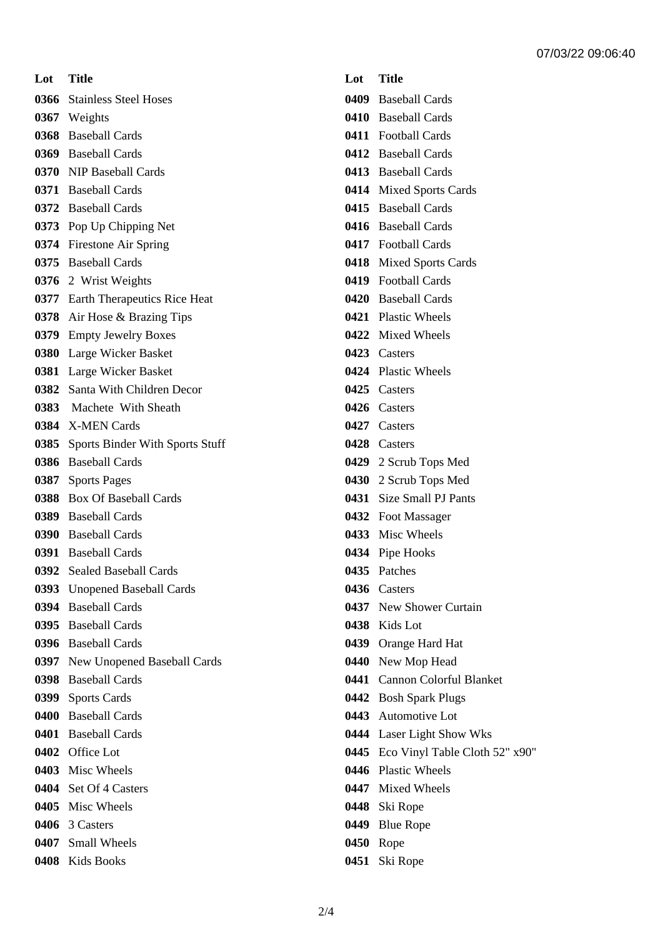**Lot Title** Stainless Steel Hoses Weights Baseball Cards Baseball Cards NIP Baseball Cards Baseball Cards Baseball Cards Pop Up Chipping Net Firestone Air Spring Baseball Cards 2 Wrist Weights Earth Therapeutics Rice Heat Air Hose & Brazing Tips Empty Jewelry Boxes Large Wicker Basket Large Wicker Basket Santa With Children Decor Machete With Sheath X-MEN Cards Sports Binder With Sports Stuff Baseball Cards Sports Pages Box Of Baseball Cards Baseball Cards Baseball Cards Baseball Cards Sealed Baseball Cards Unopened Baseball Cards Baseball Cards Baseball Cards Baseball Cards New Unopened Baseball Cards Baseball Cards Sports Cards Baseball Cards Baseball Cards Office Lot Misc Wheels Set Of 4 Casters Misc Wheels 3 Casters Small Wheels

Kids Books

## **Lot Title**

- Baseball Cards
- Baseball Cards
- Football Cards
- Baseball Cards
- Baseball Cards
- Mixed Sports Cards
- Baseball Cards
- Baseball Cards
- Football Cards
- Mixed Sports Cards
- Football Cards
- Baseball Cards
- Plastic Wheels
- Mixed Wheels
- Casters
- Plastic Wheels
- Casters
- Casters
- Casters
- Casters
- 2 Scrub Tops Med
- 2 Scrub Tops Med
- Size Small PJ Pants
- Foot Massager
- Misc Wheels
- Pipe Hooks
- Patches
- Casters
- New Shower Curtain
- Kids Lot
- Orange Hard Hat
- New Mop Head
- Cannon Colorful Blanket
- Bosh Spark Plugs
- Automotive Lot
- Laser Light Show Wks
- Eco Vinyl Table Cloth 52" x90"
- Plastic Wheels
- Mixed Wheels
- Ski Rope
- Blue Rope
- Rope
- Ski Rope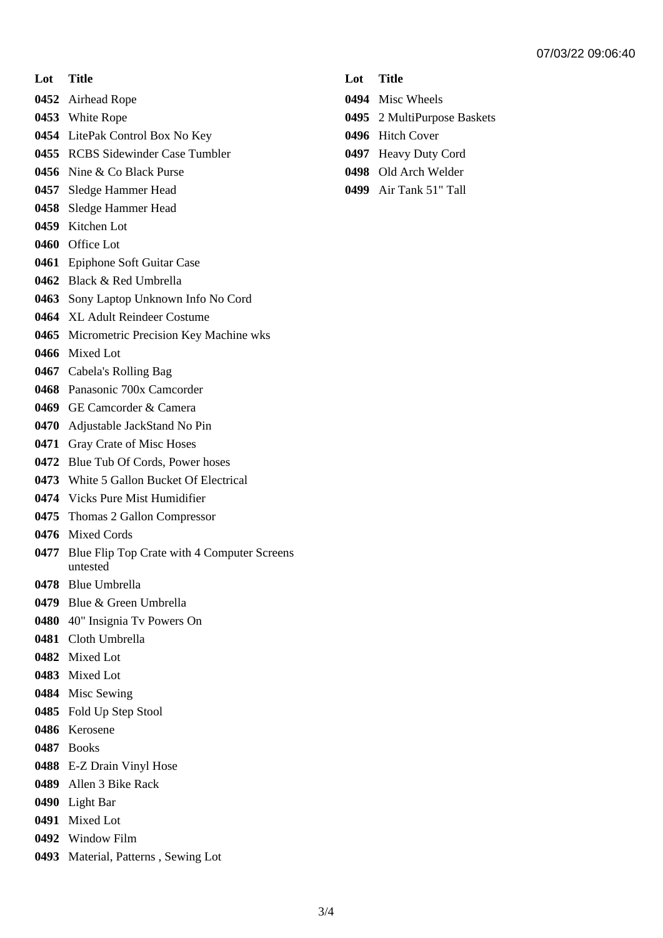**Lot Title**

Airhead Rope

- White Rope
- LitePak Control Box No Key
- RCBS Sidewinder Case Tumbler
- Nine & Co Black Purse
- Sledge Hammer Head
- Sledge Hammer Head
- Kitchen Lot
- Office Lot
- Epiphone Soft Guitar Case
- Black & Red Umbrella
- Sony Laptop Unknown Info No Cord
- XL Adult Reindeer Costume
- Micrometric Precision Key Machine wks
- Mixed Lot
- Cabela's Rolling Bag
- Panasonic 700x Camcorder
- GE Camcorder & Camera
- Adjustable JackStand No Pin
- Gray Crate of Misc Hoses
- Blue Tub Of Cords, Power hoses
- White 5 Gallon Bucket Of Electrical
- Vicks Pure Mist Humidifier
- Thomas 2 Gallon Compressor
- Mixed Cords
- Blue Flip Top Crate with 4 Computer Screens untested
- Blue Umbrella
- Blue & Green Umbrella
- 40" Insignia Tv Powers On
- Cloth Umbrella
- Mixed Lot
- Mixed Lot
- Misc Sewing
- Fold Up Step Stool
- Kerosene
- Books
- E-Z Drain Vinyl Hose
- Allen 3 Bike Rack
- Light Bar
- Mixed Lot
- Window Film
- Material, Patterns , Sewing Lot
- **Lot Title**
- Misc Wheels
- 2 MultiPurpose Baskets
- Hitch Cover
- Heavy Duty Cord
- Old Arch Welder
- Air Tank 51" Tall